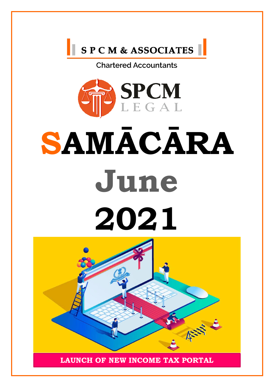



## **SAMĀCĀRA June 2021**

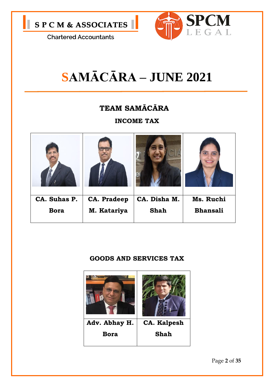



## **SAMĀCĀRA – JUNE 2021**

#### **TEAM SAMĀCĀRA**

**INCOME TAX**



#### **GOODS AND SERVICES TAX**

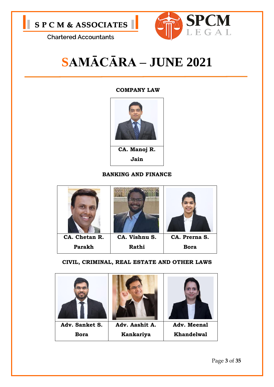



## **SAMĀCĀRA – JUNE 2021**

#### **COMPANY LAW**



#### **BANKING AND FINANCE**



#### **CIVIL, CRIMINAL, REAL ESTATE AND OTHER LAWS**

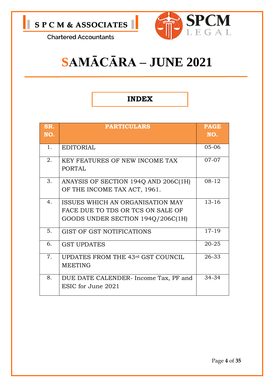

## **SAMĀCĀRA – JUNE 2021**

#### **INDEX**

| SR.<br>NO. | <b>PARTICULARS</b>                    | <b>PAGE</b><br>NO. |
|------------|---------------------------------------|--------------------|
|            |                                       |                    |
| 1.         | <b>EDITORIAL</b>                      | $05 - 06$          |
| 2.         | <b>KEY FEATURES OF NEW INCOME TAX</b> | $07-07$            |
|            | <b>PORTAL</b>                         |                    |
| 3.         | ANAYSIS OF SECTION 194Q AND 206C(1H)  | $08 - 12$          |
|            | OF THE INCOME TAX ACT, 1961.          |                    |
| 4.         | ISSUES WHICH AN ORGANISATION MAY      | $13 - 16$          |
|            | FACE DUE TO TDS OR TCS ON SALE OF     |                    |
|            | GOODS UNDER SECTION 194Q/206C(1H)     |                    |
| 5.         | GIST OF GST NOTIFICATIONS             | 17-19              |
| 6.         | <b>GST UPDATES</b>                    | 20-25              |
| 7.         | UPDATES FROM THE 43rd GST COUNCIL     | 26-33              |
|            | <b>MEETING</b>                        |                    |
| 8.         | DUE DATE CALENDER-Income Tax, PF and  | 34-34              |
|            | ESIC for June 2021                    |                    |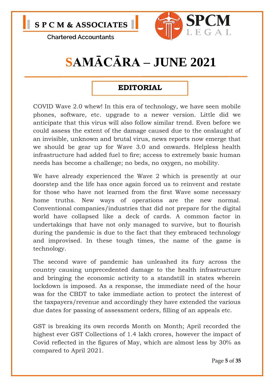

## **SAMĀCĀRA – JUNE 2021**

#### **EDITORIAL**

COVID Wave 2.0 whew! In this era of technology, we have seen mobile phones, software, etc. upgrade to a newer version. Little did we anticipate that this virus will also follow similar trend. Even before we could assess the extent of the damage caused due to the onslaught of an invisible, unknown and brutal virus, news reports now emerge that we should be gear up for Wave 3.0 and onwards. Helpless health infrastructure had added fuel to fire; access to extremely basic human needs has become a challenge; no beds, no oxygen, no mobility.

We have already experienced the Wave 2 which is presently at our doorstep and the life has once again forced us to reinvent and restate for those who have not learned from the first Wave some necessary home truths. New ways of operations are the new normal. Conventional companies/industries that did not prepare for the digital world have collapsed like a deck of cards. A common factor in undertakings that have not only managed to survive, but to flourish during the pandemic is due to the fact that they embraced technology and improvised. In these tough times, the name of the game is technology.

The second wave of pandemic has unleashed its fury across the country causing unprecedented damage to the health infrastructure and bringing the economic activity to a standstill in states wherein lockdown is imposed. As a response, the immediate need of the hour was for the CBDT to take immediate action to protect the interest of the taxpayers/revenue and accordingly they have extended the various due dates for passing of assessment orders, filling of an appeals etc.

GST is breaking its own records Month on Month; April recorded the highest ever GST Collections of 1.4 lakh crores, however the impact of Covid reflected in the figures of May, which are almost less by 30% as compared to April 2021.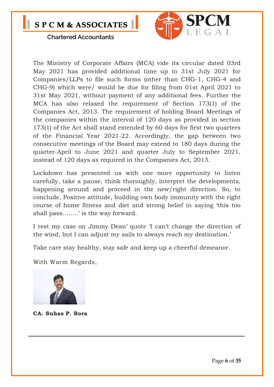

The Ministry of Corporate Affairs (MCA) vide its circular dated 03rd May 2021 has provided additional time up to 31st July 2021 for Companies/LLPs to file such forms (other than CHG-1, CHG-4 and CHG-9) which were/ would be due for filing from 01st April 2021 to 31st May 2021, without payment of any additional fees. Further the MCA has also relaxed the requirement of Section 173(1) of the Companies Act, 2013. The requirement of holding Board Meetings of the companies within the interval of 120 days as provided in section 173(1) of the Act shall stand extended by 60 days for first two quarters of the Financial Year 2021-22. Accordingly, the gap between two consecutive meetings of the Board may extend to 180 days during the quarter-April to June 2021 and quarter July to September 2021, instead of 120 days as required in the Companies Act, 2013.

Lockdown has presented us with one more opportunity to listen carefully, take a pause, think thoroughly, interpret the developments, happening around and proceed in the new/right direction. So, to conclude, Positive attitude, building own body immunity with the right course of home fitness and diet and strong belief in saying 'this too shall pass……..' is the way forward.

I rest my case on Jimmy Dean' quote 'I can't change the direction of the wind, but I can adjust my sails to always reach my destination.'

Take care stay healthy, stay safe and keep up a cheerful demeanor.

With Warm Regards,



**CA. Suhas P. Bora**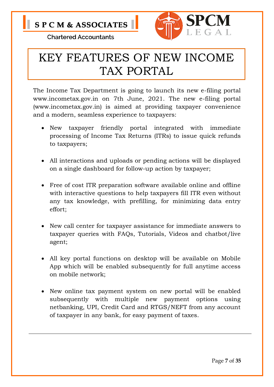



### KEY FEATURES OF NEW INCOME TAX PORTAL

The Income Tax Department is going to launch its new e-filing portal www.incometax.gov.in on 7th June, 2021. The new e-filing portal (www.incometax.gov.in) is aimed at providing taxpayer convenience and a modern, seamless experience to taxpayers:

- New taxpayer friendly portal integrated with immediate processing of Income Tax Returns (ITRs) to issue quick refunds to taxpayers;
- All interactions and uploads or pending actions will be displayed on a single dashboard for follow-up action by taxpayer;
- Free of cost ITR preparation software available online and offline with interactive questions to help taxpayers fill ITR even without any tax knowledge, with prefilling, for minimizing data entry effort;
- New call center for taxpayer assistance for immediate answers to taxpayer queries with FAQs, Tutorials, Videos and chatbot/live agent;
- All key portal functions on desktop will be available on Mobile App which will be enabled subsequently for full anytime access on mobile network;
- New online tax payment system on new portal will be enabled subsequently with multiple new payment options using netbanking, UPI, Credit Card and RTGS/NEFT from any account of taxpayer in any bank, for easy payment of taxes.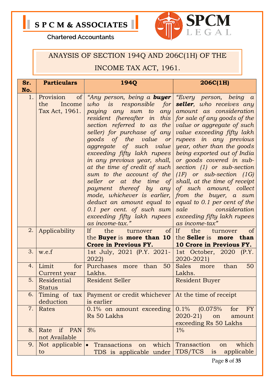



#### ANAYSIS OF SECTION 194Q AND 206C(1H) OF THE

#### **INCOME TAX ACT, 1961.**

| Sr. | <b>Particulars</b>                                 | <b>1940</b>                                                                                                                                                                                                                                                                                                                                                                                                                                                                                                                                                                                                                                                             | 206C(1H)                                                                                                                                                                                                                                                                                                                                                                                                                                                                   |
|-----|----------------------------------------------------|-------------------------------------------------------------------------------------------------------------------------------------------------------------------------------------------------------------------------------------------------------------------------------------------------------------------------------------------------------------------------------------------------------------------------------------------------------------------------------------------------------------------------------------------------------------------------------------------------------------------------------------------------------------------------|----------------------------------------------------------------------------------------------------------------------------------------------------------------------------------------------------------------------------------------------------------------------------------------------------------------------------------------------------------------------------------------------------------------------------------------------------------------------------|
| No. |                                                    |                                                                                                                                                                                                                                                                                                                                                                                                                                                                                                                                                                                                                                                                         |                                                                                                                                                                                                                                                                                                                                                                                                                                                                            |
| 1.  | of<br>Provision<br>Income<br>the<br>Tax Act, 1961. | "Any person, being a <b>buyer</b>   "Every person, being a<br>who is responsible for<br>paying any sum to any<br>resident (hereafter in this   for sale of any goods of the<br>section referred to as the<br>seller) for purchase of any<br>goods of the value<br>or <sub>l</sub><br><i>aggregate</i> of such value<br>exceeding fifty lakh rupees<br>in any previous year, shall,<br>at the time of credit of such<br>sum to the account of the<br>seller or at the time of<br>payment thereof by any<br>mode, whichever is earlier, from the buyer, a sum<br>deduct an amount equal to<br>0.1 per cent. of such sum<br>exceeding fifty lakh rupees<br>as income-tax." | seller, who receives any<br>amount as consideration<br><i>value</i> or aggregate of such<br>value exceeding fifty lakh<br>rupees in any previous<br>year, other than the goods<br>being exported out of India<br>or goods covered in sub-<br>section (1) or sub-section<br>$(1F)$ or sub-section $(1G)$<br>shall, at the time of receipt<br>of such amount, collect<br>equal to 0.1 per cent of the<br>sale consideration<br>exceeding fifty lakh rupees<br>as income-tax" |
| 2.  | Applicability                                      | If<br>$of$ If<br>the<br>turnover<br>the Buyer is more than $10$<br><b>Crore in Previous FY.</b>                                                                                                                                                                                                                                                                                                                                                                                                                                                                                                                                                                         | the<br><sub>of</sub><br>turnover<br>the Seller is more than<br>10 Crore in Previous FY.                                                                                                                                                                                                                                                                                                                                                                                    |
| 3.  | w.e.f                                              | 1st July, 2021 (P.Y. 2021-<br>2022)                                                                                                                                                                                                                                                                                                                                                                                                                                                                                                                                                                                                                                     | 1st October, 2020 (P.Y.<br>2020-2021)                                                                                                                                                                                                                                                                                                                                                                                                                                      |
| 4.  | Limit<br>for<br>Current year                       | Purchases more than<br>50<br>Lakhs.                                                                                                                                                                                                                                                                                                                                                                                                                                                                                                                                                                                                                                     | <b>Sales</b><br>50<br>than<br>more<br>Lakhs.                                                                                                                                                                                                                                                                                                                                                                                                                               |
| 5.  | Residential<br><b>Status</b>                       | <b>Resident Seller</b>                                                                                                                                                                                                                                                                                                                                                                                                                                                                                                                                                                                                                                                  | <b>Resident Buyer</b>                                                                                                                                                                                                                                                                                                                                                                                                                                                      |
| 6.  | Timing of tax<br>deduction                         | Payment or credit whichever   At the time of receipt<br>is earlier                                                                                                                                                                                                                                                                                                                                                                                                                                                                                                                                                                                                      |                                                                                                                                                                                                                                                                                                                                                                                                                                                                            |
| 7.  | Rates                                              | $0.1\%$ on amount exceeding<br>Rs 50 Lakhs                                                                                                                                                                                                                                                                                                                                                                                                                                                                                                                                                                                                                              | 0.1%<br>$(0.075\%$<br><b>FY</b><br>for<br>$2020 - 21$<br>on<br>amount<br>exceeding Rs 50 Lakhs                                                                                                                                                                                                                                                                                                                                                                             |
| 8.  | if<br><b>PAN</b><br>Rate<br>not Available          | 5%                                                                                                                                                                                                                                                                                                                                                                                                                                                                                                                                                                                                                                                                      | $1\%$                                                                                                                                                                                                                                                                                                                                                                                                                                                                      |
| 9.  | Not applicable<br>to                               | Transactions<br>which<br>$\bullet$<br>on<br>TDS is applicable under                                                                                                                                                                                                                                                                                                                                                                                                                                                                                                                                                                                                     | Transaction<br>which<br>on<br>TDS/TCS<br>applicable<br><i>is</i>                                                                                                                                                                                                                                                                                                                                                                                                           |
|     |                                                    |                                                                                                                                                                                                                                                                                                                                                                                                                                                                                                                                                                                                                                                                         | Page 8 of 35                                                                                                                                                                                                                                                                                                                                                                                                                                                               |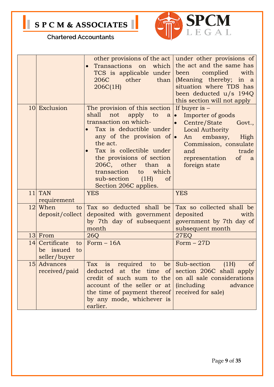

|    |                                                      | Transactions on which<br>TCS is applicable under<br>206C<br>other<br>than<br>206C(1H)                                                                                                                          | other provisions of the act   under other provisions of<br>the act and the same has<br>been complied<br>with<br>(Meaning thereby; in a<br>situation where TDS has<br>been deducted u/s 194Q<br>this section will not apply |
|----|------------------------------------------------------|----------------------------------------------------------------------------------------------------------------------------------------------------------------------------------------------------------------|----------------------------------------------------------------------------------------------------------------------------------------------------------------------------------------------------------------------------|
|    | 10 Exclusion                                         | The provision of this section<br>shall<br>not<br>apply to<br>$a \mid \bullet$<br>transaction on which-<br>Tax is deductible under<br>any of the provision of $\bullet$<br>the act.<br>Tax is collectible under | If buyer is $-$<br>Importer of goods<br>Centre/State<br>Govt.,<br>$\bullet$<br>Local Authority<br>An embassy, High<br>Commission, consulate<br>and<br>trade                                                                |
|    |                                                      | the provisions of section<br>206C, other than<br>a<br>transaction<br>which<br>to<br>sub-section (1H)<br><sub>of</sub><br>Section 206C applies.                                                                 | of a<br>representation<br>foreign state                                                                                                                                                                                    |
|    | $11$ TAN<br>requirement                              | <b>YES</b>                                                                                                                                                                                                     | <b>YES</b>                                                                                                                                                                                                                 |
|    | 12 When<br>to<br>deposit/collect                     | Tax so deducted shall be<br>deposited with government<br>by 7th day of subsequent<br>month                                                                                                                     | Tax so collected shall be<br><b>deposited</b><br>with<br>government by 7th day of<br>subsequent month                                                                                                                      |
|    | 13 From                                              | 26Q                                                                                                                                                                                                            | <b>27EQ</b>                                                                                                                                                                                                                |
| 14 | Certificate<br>to<br>be issued<br>to<br>seller/buyer | $Form - 16A$                                                                                                                                                                                                   | Form $-27D$                                                                                                                                                                                                                |
|    | 15 Advances<br>received/paid                         | Tax is required to be<br>deducted at the time of<br>credit of such sum to the<br>account of the seller or at<br>the time of payment thereof<br>by any mode, whichever is<br>earlier.                           | Sub-section<br>of<br>(1H)<br>section 206C shall apply<br>on all sale considerations<br>(including advance<br>received for sale)                                                                                            |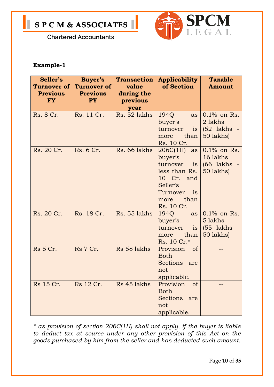



#### **Example-1**

| Seller's        | Buyer's            | <b>Transaction</b> | <b>Applicability</b> | <b>Taxable</b> |
|-----------------|--------------------|--------------------|----------------------|----------------|
| Turnover of     | <b>Turnover of</b> | value              | of Section           | <b>Amount</b>  |
| <b>Previous</b> | <b>Previous</b>    | during the         |                      |                |
| <b>FY</b>       | <b>FY</b>          | previous           |                      |                |
|                 |                    | year               |                      |                |
| Rs. 8 Cr.       | Rs. 11 Cr.         | Rs. 52 lakhs       | 1940<br>as           | $0.1\%$ on Rs. |
|                 |                    |                    | buyer's              | 2 lakhs        |
|                 |                    |                    | turnover<br>is       | $(52$ lakhs -  |
|                 |                    |                    | than<br>more         | 50 lakhs)      |
|                 |                    |                    | Rs. 10 Cr.           |                |
| Rs. 20 Cr.      | Rs. 6 Cr.          | Rs. 66 lakhs       | 206C(1H)<br>as       | $0.1\%$ on Rs. |
|                 |                    |                    | buyer's              | 16 lakhs       |
|                 |                    |                    | turnover<br>is       | (66 lakhs -    |
|                 |                    |                    | less than Rs.        | 50 lakhs)      |
|                 |                    |                    | 10 Cr. and           |                |
|                 |                    |                    | Seller's             |                |
|                 |                    |                    | Turnover<br>is       |                |
|                 |                    |                    | than<br>more         |                |
|                 |                    |                    | Rs. 10 Cr.           |                |
| Rs. 20 Cr.      | Rs. 18 Cr.         | Rs. 55 lakhs       | 1940<br>as           | $0.1\%$ on Rs. |
|                 |                    |                    | buyer's              | 5 lakhs        |
|                 |                    |                    | turnover<br>is       | $(55$ lakhs -  |
|                 |                    |                    | than<br>more         | 50 lakhs)      |
|                 |                    |                    | Rs. 10 Cr.*          |                |
| <b>Rs</b> 5 Cr. | Rs 7 Cr.           | Rs 58 lakhs        | Provision of         |                |
|                 |                    |                    | <b>Both</b>          |                |
|                 |                    |                    | Sections are         |                |
|                 |                    |                    | not                  |                |
|                 |                    |                    | applicable.          |                |
| Rs 15 Cr.       | Rs 12 Cr.          | Rs 45 lakhs        | Provision of         |                |
|                 |                    |                    | <b>Both</b>          |                |
|                 |                    |                    | Sections are         |                |
|                 |                    |                    | not                  |                |
|                 |                    |                    | applicable.          |                |

*\* as provision of section 206C(1H) shall not apply, if the buyer is liable to deduct tax at source under any other provision of this Act on the goods purchased by him from the seller and has deducted such amount.*

Page **10** of **35**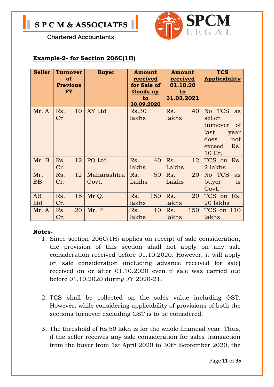



#### **Example-2- for Section 206C(1H)**

| <b>Seller</b> | <b>Turnover</b><br><b>of</b><br><b>Previous</b><br><b>FY</b> | <b>Buyer</b>         | <b>Amount</b><br>received<br>for Sale of<br>Goods up<br>to<br>30.09.2020 | <b>Amount</b><br>received<br>01.10.20<br>$to$<br>31.03.2021 | <b>TCS</b><br><b>Applicability</b>                                                              |
|---------------|--------------------------------------------------------------|----------------------|--------------------------------------------------------------------------|-------------------------------------------------------------|-------------------------------------------------------------------------------------------------|
| Mr. A         | Rs.<br>10<br>Cr                                              | XY Ltd               | <b>Rs.30</b><br>lakhs                                                    | 40<br>Rs.<br>lakhs                                          | No TCS as<br>seller<br>turnover<br>of<br>last<br>year<br>does<br>not<br>Rs.<br>exceed<br>10 Cr. |
| Mr. B         | Rs.<br>12<br>Cr.                                             | PQ Ltd               | 40<br>Rs.<br>lakhs                                                       | Rs.<br>12<br>Lakhs                                          | TCS on Rs.<br>2 lakhs                                                                           |
| Mr.<br>BB     | Rs.<br>12<br>Cr.                                             | Maharashtra<br>Govt. | 50<br>Rs.<br>Lakhs                                                       | 20<br>Rs.<br>Lakhs                                          | No TCS<br>as<br>buyer<br>is<br>Govt.                                                            |
| AB<br>Ltd     | 15<br>Rs.<br>Cr.                                             | Mr Q.                | Rs.<br>150<br>lakhs                                                      | Rs.<br>20<br>lakhs                                          | TCS on Rs.<br>20 lakhs                                                                          |
| Mr. A         | 20<br>Rs.<br>Cr.                                             | Mr. P                | 10<br>Rs.<br>lakhs                                                       | 150<br>Rs.<br>lakhs                                         | TCS on 110<br>lakhs                                                                             |

#### **Notes-**

- 1. Since section 206C(1H) applies on receipt of sale consideration, the provision of this section shall not apply on any sale consideration received before 01.10.2020. However, it will apply on sale consideration (including advance received for sale) received on or after 01.10.2020 even if sale was carried out before 01.10.2020 during FY 2020-21.
- 2. TCS shall be collected on the sales value including GST. However, while considering applicability of provisions of both the sections turnover excluding GST is to be considered.
- 3. The threshold of Rs.50 lakh is for the whole financial year. Thus, if the seller receives any sale consideration for sales transaction from the buyer from 1st April 2020 to 30th September 2020, the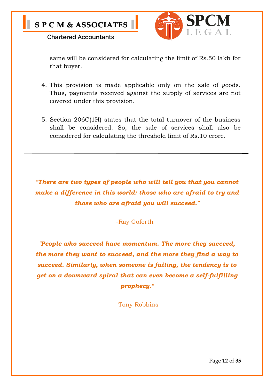



same will be considered for calculating the limit of Rs.50 lakh for that buyer.

- 4. This provision is made applicable only on the sale of goods. Thus, payments received against the supply of services are not covered under this provision.
- 5. Section 206C(1H) states that the total turnover of the business shall be considered. So, the sale of services shall also be considered for calculating the threshold limit of Rs.10 crore.

*"There are two types of people who will tell you that you cannot make a difference in this world: those who are afraid to try and those who are afraid you will succeed."*

-Ray Goforth

*"People who succeed have momentum. The more they succeed, the more they want to succeed, and the more they find a way to succeed. Similarly, when someone is failing, the tendency is to get on a downward spiral that can even become a self-fulfilling prophecy."*

-Tony Robbins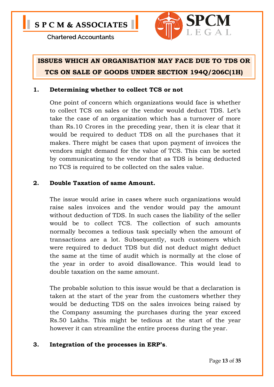

#### **ISSUES WHICH AN ORGANISATION MAY FACE DUE TO TDS OR TCS ON SALE OF GOODS UNDER SECTION 194Q/206C(1H)**

#### **1. Determining whether to collect TCS or not**

One point of concern which organizations would face is whether to collect TCS on sales or the vendor would deduct TDS. Let's take the case of an organization which has a turnover of more than Rs.10 Crores in the preceding year, then it is clear that it would be required to deduct TDS on all the purchases that it makes. There might be cases that upon payment of invoices the vendors might demand for the value of TCS. This can be sorted by communicating to the vendor that as TDS is being deducted no TCS is required to be collected on the sales value.

#### **2. Double Taxation of same Amount.**

The issue would arise in cases where such organizations would raise sales invoices and the vendor would pay the amount without deduction of TDS. In such cases the liability of the seller would be to collect TCS. The collection of such amounts normally becomes a tedious task specially when the amount of transactions are a lot. Subsequently, such customers which were required to deduct TDS but did not deduct might deduct the same at the time of audit which is normally at the close of the year in order to avoid disallowance. This would lead to double taxation on the same amount.

The probable solution to this issue would be that a declaration is taken at the start of the year from the customers whether they would be deducting TDS on the sales invoices being raised by the Company assuming the purchases during the year exceed Rs.50 Lakhs. This might be tedious at the start of the year however it can streamline the entire process during the year.

#### **3. Integration of the processes in ERP's**.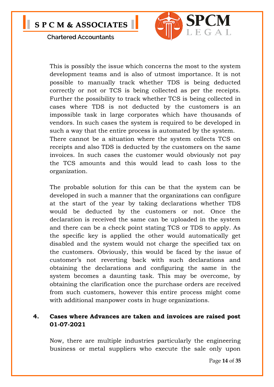

This is possibly the issue which concerns the most to the system development teams and is also of utmost importance. It is not possible to manually track whether TDS is being deducted correctly or not or TCS is being collected as per the receipts. Further the possibility to track whether TCS is being collected in cases where TDS is not deducted by the customers is an impossible task in large corporates which have thousands of vendors. In such cases the system is required to be developed in such a way that the entire process is automated by the system. There cannot be a situation where the system collects TCS on receipts and also TDS is deducted by the customers on the same invoices. In such cases the customer would obviously not pay the TCS amounts and this would lead to cash loss to the organization.

The probable solution for this can be that the system can be developed in such a manner that the organizations can configure at the start of the year by taking declarations whether TDS would be deducted by the customers or not. Once the declaration is received the same can be uploaded in the system and there can be a check point stating TCS or TDS to apply. As the specific key is applied the other would automatically get disabled and the system would not charge the specified tax on the customers. Obviously, this would be faced by the issue of customer's not reverting back with such declarations and obtaining the declarations and configuring the same in the system becomes a daunting task. This may be overcome, by obtaining the clarification once the purchase orders are received from such customers, however this entire process might come with additional manpower costs in huge organizations.

#### **4. Cases where Advances are taken and invoices are raised post 01-07-2021**

Now, there are multiple industries particularly the engineering business or metal suppliers who execute the sale only upon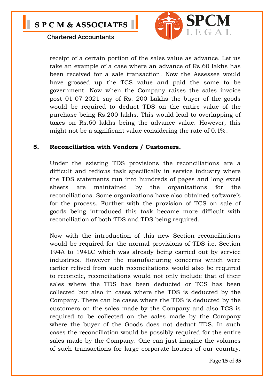

receipt of a certain portion of the sales value as advance. Let us take an example of a case where an advance of Rs.60 lakhs has been received for a sale transaction. Now the Assessee would have grossed up the TCS value and paid the same to be government. Now when the Company raises the sales invoice post 01-07-2021 say of Rs. 200 Lakhs the buyer of the goods would be required to deduct TDS on the entire value of the purchase being Rs.200 lakhs. This would lead to overlapping of taxes on Rs.60 lakhs being the advance value. However, this might not be a significant value considering the rate of 0.1%.

#### **5. Reconciliation with Vendors / Customers.**

Under the existing TDS provisions the reconciliations are a difficult and tedious task specifically in service industry where the TDS statements run into hundreds of pages and long excel sheets are maintained by the organizations for the reconciliations. Some organizations have also obtained software's for the process. Further with the provision of TCS on sale of goods being introduced this task became more difficult with reconciliation of both TDS and TDS being required.

Now with the introduction of this new Section reconciliations would be required for the normal provisions of TDS *i.e.* Section 194A to 194LC which was already being carried out by service industries. However the manufacturing concerns which were earlier relived from such reconciliations would also be required to reconcile, reconciliations would not only include that of their sales where the TDS has been deducted or TCS has been collected but also in cases where the TDS is deducted by the Company. There can be cases where the TDS is deducted by the customers on the sales made by the Company and also TCS is required to be collected on the sales made by the Company where the buyer of the Goods does not deduct TDS. In such cases the reconciliation would be possibly required for the entire sales made by the Company. One can just imagine the volumes of such transactions for large corporate houses of our country.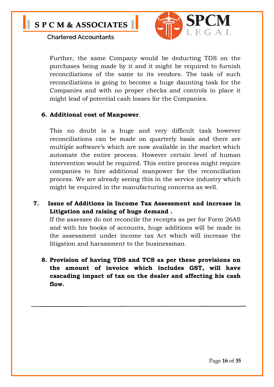

Further, the same Company would be deducting TDS on the purchases being made by it and it might be required to furnish reconciliations of the same to its vendors. The task of such reconciliations is going to become a huge daunting task for the Companies and with no proper checks and controls in place it might lead of potential cash losses for the Companies.

#### **6. Additional cost of Manpower**.

This no doubt is a huge and very difficult task however reconciliations can be made on quarterly basis and there are multiple software's which are now available in the market which automate the entire process. However certain level of human intervention would be required. This entire process might require companies to hire additional manpower for the reconciliation process. We are already seeing this in the service industry which might be required in the manufacturing concerns as well.

**7. Issue of Additions in Income Tax Assessment and increase in Litigation and raising of huge demand .** 

If the assessee do not reconcile the receipts as per for Form 26AS and with his books of accounts, huge additions will be made in the assessment under income tax Act which will increase the litigation and harassment to the businessman.

**8. Provision of having TDS and TCS as per these provisions on the amount of invoice which includes GST, will have cascading impact of tax on the dealer and affecting his cash flow.**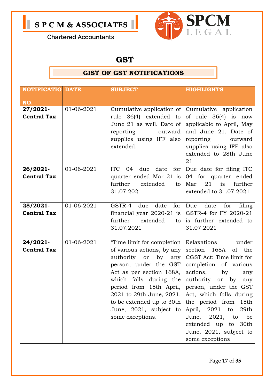



**N** 

#### **GST**

#### **GIST OF GST NOTIFICATIONS**

|                                | <b>NOTIFICATIO DATE</b><br><b>SUBJECT</b> |                                                                                                                                                                                                                                                                                                                                | <b>HIGHLIGHTS</b>                                                                                                                                                                                                                                                                                                                                  |
|--------------------------------|-------------------------------------------|--------------------------------------------------------------------------------------------------------------------------------------------------------------------------------------------------------------------------------------------------------------------------------------------------------------------------------|----------------------------------------------------------------------------------------------------------------------------------------------------------------------------------------------------------------------------------------------------------------------------------------------------------------------------------------------------|
| NO.                            |                                           |                                                                                                                                                                                                                                                                                                                                |                                                                                                                                                                                                                                                                                                                                                    |
| 27/2021-<br><b>Central Tax</b> | 01-06-2021                                | Cumulative application of Cumulative application<br>rule 36(4) extended to<br>June 21 as well. Date of<br>reporting<br>outward<br>supplies using IFF also<br>extended.                                                                                                                                                         | of rule $36(4)$ is now<br>applicable to April, May<br>and June 21. Date of<br>reporting<br>outward<br>supplies using IFF also<br>extended to 28th June<br>21                                                                                                                                                                                       |
| 26/2021-<br><b>Central Tax</b> | 01-06-2021                                | <b>ITC</b><br>date<br>for $ $<br>04<br>due<br>quarter ended Mar 21 is<br>further<br>extended<br>to<br>31.07.2021                                                                                                                                                                                                               | Due date for filing ITC<br>04 for quarter ended<br>21<br>is<br>Mar<br>further<br>extended to 31.07.2021                                                                                                                                                                                                                                            |
| 25/2021-<br><b>Central Tax</b> | 01-06-2021                                | GSTR-4 due date for Due date<br>financial year $2020-21$ is GSTR-4 for FY 2020-21<br>further<br>extended<br>$\overline{\text{to}}$<br>31.07.2021                                                                                                                                                                               | for<br>filing<br>is further extended to<br>31.07.2021                                                                                                                                                                                                                                                                                              |
| 24/2021-<br><b>Central Tax</b> | 01-06-2021                                | "Time limit for completion   Relaxations<br>of various actions, by any<br>authority<br>by<br><b>or</b><br>any<br>person, under the GST<br>Act as per section 168A,<br>which falls during the<br>period from 15th April,<br>2021 to 29th June, 2021,<br>to be extended up to 30th<br>June, 2021, subject to<br>some exceptions. | under<br>section<br>168A<br>of the<br>CGST Act: Time limit for<br>completion of various<br>actions,<br>by<br>any<br>authority or<br>by<br>any<br>person, under the GST<br>Act, which falls during<br>the period from<br>15th<br>April, 2021 to<br>29th<br>June, 2021, to<br>be<br>extended up to 30th<br>June, 2021, subject to<br>some exceptions |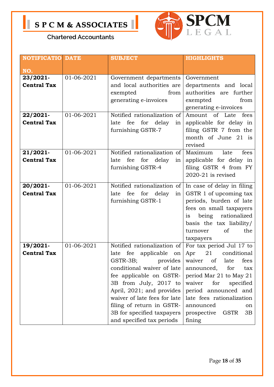



**N** 

| <b>NOTIFICATIO DATE</b>        |            | <b>SUBJECT</b>                                                                                                                                                                                                                                                                                                                             | <b>HIGHLIGHTS</b>                                                                                                                                                                                                                                            |
|--------------------------------|------------|--------------------------------------------------------------------------------------------------------------------------------------------------------------------------------------------------------------------------------------------------------------------------------------------------------------------------------------------|--------------------------------------------------------------------------------------------------------------------------------------------------------------------------------------------------------------------------------------------------------------|
| NO.                            |            |                                                                                                                                                                                                                                                                                                                                            |                                                                                                                                                                                                                                                              |
| 23/2021-<br><b>Central Tax</b> | 01-06-2021 | Government departments<br>Government<br>and local authorities are<br>departments and local<br>authorities are further<br>from<br>exempted<br>generating e-invoices<br>exempted<br>from<br>generating e-invoices                                                                                                                            |                                                                                                                                                                                                                                                              |
| 22/2021-<br><b>Central Tax</b> | 01-06-2021 | Notified rationalization of<br>fee<br>for delay<br>late<br>in <sub>1</sub><br>furnishing GSTR-7                                                                                                                                                                                                                                            | Amount of Late fees<br>applicable for delay in<br>filing GSTR 7 from the<br>month of June 21 is<br>revised                                                                                                                                                   |
| 21/2021-<br><b>Central Tax</b> | 01-06-2021 | Notified rationalization of<br>fee<br>for<br>delay<br>late<br>in <sub>1</sub><br>furnishing GSTR-4                                                                                                                                                                                                                                         | Maximum<br>late<br>fees<br>applicable for delay in<br>filing GSTR 4 from FY<br>$2020 - 21$ is revised                                                                                                                                                        |
| 20/2021-<br><b>Central Tax</b> | 01-06-2021 | Notified rationalization of<br>fee<br>for<br>late<br>delay<br>in<br>furnishing GSTR-1                                                                                                                                                                                                                                                      | In case of delay in filing<br>GSTR 1 of upcoming tax<br>periods, burden of late<br>fees on small taxpayers<br>being rationalized<br>is<br>basis the tax liability/<br>of<br>the<br>turnover<br>taxpayers                                                     |
| 19/2021-<br><b>Central Tax</b> | 01-06-2021 | Notified rationalization of<br>fee applicable on<br>late<br>GSTR-3B; provides   waiver of late fees<br>conditional waiver of late<br>fee applicable on GSTR-<br>3B from July, 2017 to<br>April, 2021; and provides<br>waiver of late fees for late<br>filing of return in GSTR-<br>3B for specified taxpayers<br>and specified tax periods | For tax period Jul 17 to<br>Apr<br>21 conditional<br>announced,<br>for<br>tax<br>period Mar 21 to May 21<br>waiver<br>for<br>specified<br>period announced and<br>late fees rationalization<br>announced<br>on<br>prospective<br><b>GSTR</b><br>3B<br>fining |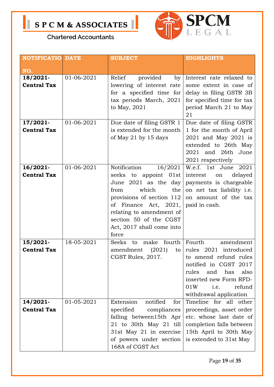



**N** 

| <b>NOTIFICATIO DATE</b>        |            | <b>SUBJECT</b>                                                                                                                                                                                                                                     | <b>HIGHLIGHTS</b>                                                                                                                                                                                          |  |
|--------------------------------|------------|----------------------------------------------------------------------------------------------------------------------------------------------------------------------------------------------------------------------------------------------------|------------------------------------------------------------------------------------------------------------------------------------------------------------------------------------------------------------|--|
| NO.                            |            |                                                                                                                                                                                                                                                    |                                                                                                                                                                                                            |  |
| 18/2021-<br><b>Central Tax</b> | 01-06-2021 | provided<br>Relief<br>by<br>lowering of interest rate<br>for a specified time for<br>tax periods March, 2021<br>to May, 2021                                                                                                                       | Interest rate relaxed to<br>some extent in case of<br>delay in filing GSTR 3B<br>for specified time for tax<br>period March 21 to May<br>21                                                                |  |
| 17/2021-<br><b>Central Tax</b> | 01-06-2021 | Due date of filing GSTR 1<br>is extended for the month<br>of May 21 by 15 days                                                                                                                                                                     | Due date of filing GSTR<br>1 for the month of April<br>2021 and May 2021 is<br>extended to 26th May<br>2021 and 26th June<br>2021 respectively                                                             |  |
| 16/2021-<br><b>Central Tax</b> | 01-06-2021 | Notification<br>16/2021<br>seeks to appoint 01st<br>June 2021 as the day<br>which<br>from<br>the<br>provisions of section 112<br>of Finance Act, 2021,<br>relating to amendment of<br>section 50 of the CGST<br>Act, 2017 shall come into<br>force | W.e.f. 1st June<br>2021<br>interest<br>delayed<br>on<br>payments is chargeable<br>on net tax liability i.e.<br>on amount of the tax<br>paid in cash.                                                       |  |
| 15/2021-<br><b>Central Tax</b> | 18-05-2021 | make fourth<br>Seeks to<br>(2021)<br>amendment<br>to<br>CGST Rules, 2017.                                                                                                                                                                          | Fourth<br>amendment<br>rules 2021 introduced<br>to amend refund rules<br>notified in CGST 2017<br>rules<br>also<br>and<br>has<br>inserted new Form RFD-<br>refund<br>01W<br>i.e.<br>withdrawal application |  |
| 14/2021-<br><b>Central Tax</b> | 01-05-2021 | notified<br>Extension<br>for<br>specified<br>compliances<br>falling between15th Apr<br>21 to 30th May 21 till<br>31st May 21 in exercise<br>of powers under section<br>168A of CGST Act                                                            | Timeline for all other<br>proceedings, asset order<br>etc. whose last date of<br>completion falls between<br>15th April to 30th May<br>is extended to 31st May                                             |  |

Page **19** of **35**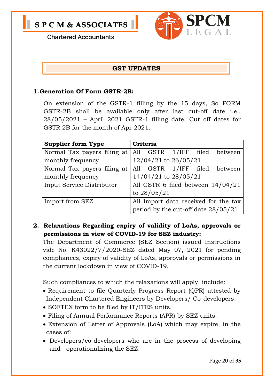



#### **GST UPDATES**

#### **1.Generation Of Form GSTR-2B:**

On extension of the GSTR-1 filling by the 15 days, So FORM GSTR-2B shall be available only after last cut-off date i.e., 28/05/2021 – April 2021 GSTR-1 filling date, Cut off dates for GSTR 2B for the month of Apr 2021.

| <b>Supplier form Type</b>   | Criteria                             |  |  |
|-----------------------------|--------------------------------------|--|--|
| Normal Tax payers filing at | All GSTR 1/IFF filed between         |  |  |
| monthly frequency           | $12/04/21$ to $26/05/21$             |  |  |
| Normal Tax payers filing at | All GSTR 1/IFF filed<br>between      |  |  |
| monthly frequency           | $14/04/21$ to $28/05/21$             |  |  |
| Input Service Distributor   | All GSTR 6 filed between 14/04/21    |  |  |
|                             | to $28/05/21$                        |  |  |
| Import from SEZ             | All Import data received for the tax |  |  |
|                             | period by the cut-off date 28/05/21  |  |  |

#### **2. Relaxations Regarding expiry of validity of LoAs, approvals or permissions in view of COVID-19 for SEZ industry:**

The Department of Commerce (SEZ Section) issued Instructions vide No. K43022/7/2020-SEZ dated May 07, 2021 for pending compliances, expiry of validity of LoAs, approvals or permissions in the current lockdown in view of COVID-19.

Such compliances to which the relaxations will apply, include:

- Requirement to file Quarterly Progress Report (QPR) attested by Independent Chartered Engineers by Developers/ Co-developers.
- SOFTEX form to be filed by IT/ITES units.
- Filing of Annual Performance Reports (APR) by SEZ units.
- Extension of Letter of Approvals (LoA) which may expire, in the cases of:
- Developers/co-developers who are in the process of developing and operationalizing the SEZ.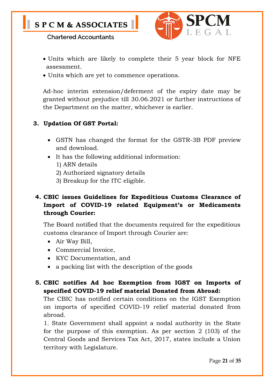

- Units which are likely to complete their 5 year block for NFE assessment.
- Units which are yet to commence operations.

Ad-hoc interim extension/deferment of the expiry date may be granted without prejudice till 30.06.2021 or further instructions of the Department on the matter, whichever is earlier.

#### **3. Updation Of GST Portal:**

- GSTN has changed the format for the GSTR-3B PDF preview and download.
- It has the following additional information:
	- 1) ARN details
	- 2) Authorized signatory details
	- 3) Breakup for the ITC eligible.

#### **4. CBIC issues Guidelines for Expeditious Customs Clearance of Import of COVID-19 related Equipment's or Medicaments through Courier:**

The Board notified that the documents required for the expeditious customs clearance of Import through Courier are:

- Air Way Bill,
- Commercial Invoice,
- KYC Documentation, and
- a packing list with the description of the goods

#### **5. CBIC notifies Ad hoc Exemption from IGST on Imports of specified COVID-19 relief material Donated from Abroad:**

The CBIC has notified certain conditions on the IGST Exemption on imports of specified COVID-19 relief material donated from abroad.

1. State Government shall appoint a nodal authority in the State for the purpose of this exemption. As per section 2 (103) of the Central Goods and Services Tax Act, 2017, states include a Union territory with Legislature.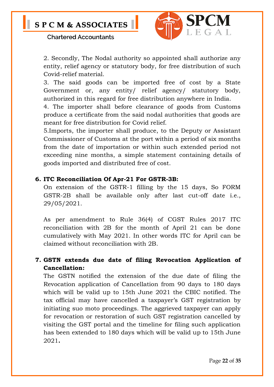

2. Secondly, The Nodal authority so appointed shall authorize any entity, relief agency or statutory body, for free distribution of such Covid-relief material.

3. The said goods can be imported free of cost by a State Government or, any entity/ relief agency/ statutory body, authorized in this regard for free distribution anywhere in India.

4. The importer shall before clearance of goods from Customs produce a certificate from the said nodal authorities that goods are meant for free distribution for Covid relief.

5.Imports, the importer shall produce, to the Deputy or Assistant Commissioner of Customs at the port within a period of six months from the date of importation or within such extended period not exceeding nine months, a simple statement containing details of goods imported and distributed free of cost.

#### **6. ITC Reconciliation Of Apr-21 For GSTR-3B:**

On extension of the GSTR-1 filling by the 15 days, So FORM GSTR-2B shall be available only after last cut-off date i.e., 29/05/2021.

As per amendment to Rule 36(4) of CGST Rules 2017 ITC reconciliation with 2B for the month of April 21 can be done cumulatively with May 2021. In other words ITC for April can be claimed without reconciliation with 2B.

#### **7. GSTN extends due date of filing Revocation Application of Cancellation:**

The GSTN notified the extension of the due date of filing the Revocation application of Cancellation from 90 days to 180 days which will be valid up to 15th June 2021 the CBIC notified. The tax official may have cancelled a taxpayer's GST registration by initiating suo moto proceedings. The aggrieved taxpayer can apply for revocation or restoration of such GST registration cancelled by visiting the GST portal and the timeline for filing such application has been extended to 180 days which will be valid up to 15th June 2021**.**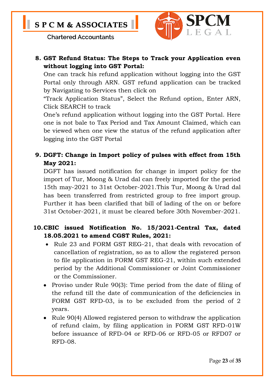

#### **8. GST Refund Status: The Steps to Track your Application even without logging into GST Portal:**

One can track his refund application without logging into the GST Portal only through ARN. GST refund application can be tracked by Navigating to Services then click on

"Track Application Status", Select the Refund option, Enter ARN, Click SEARCH to track

One's refund application without logging into the GST Portal. Here one is not bale to Tax Period and Tax Amount Claimed, which can be viewed when one view the status of the refund application after logging into the GST Portal

#### **9. DGFT: Change in Import policy of pulses with effect from 15th May 2021:**

DGFT has issued notification for change in import policy for the import of Tur, Moong & Urad dal can freely imported for the period 15th may-2021 to 31st October-2021.This Tur, Moong & Urad dal has been transferred from restricted group to free import group. Further it has been clarified that bill of lading of the on or before 31st October-2021, it must be cleared before 30th November-2021.

#### **10.CBIC issued Notification No. 15/2021-Central Tax, dated 18.05.2021 to amend CGST Rules, 2021:**

- Rule 23 and FORM GST REG-21, that deals with revocation of cancellation of registration, so as to allow the registered person to file application in FORM GST REG-21, within such extended period by the Additional Commissioner or Joint Commissioner or the Commissioner.
- Proviso under Rule 90(3): Time period from the date of filing of the refund till the date of communication of the deficiencies in FORM GST RFD-03, is to be excluded from the period of 2 years.
- Rule 90(4) Allowed registered person to withdraw the application of refund claim, by filing application in FORM GST RFD-01W before issuance of RFD-04 or RFD-06 or RFD-05 or RFD07 or RFD-08.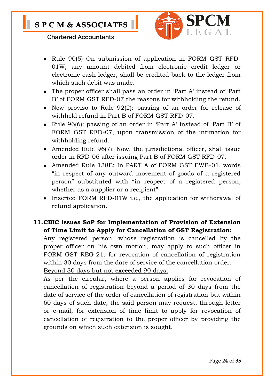

- Rule 90(5) On submission of application in FORM GST RFD-01W, any amount debited from electronic credit ledger or electronic cash ledger, shall be credited back to the ledger from which such debit was made.
- The proper officer shall pass an order in 'Part A' instead of 'Part B' of FORM GST RFD-07 the reasons for withholding the refund.
- New proviso to Rule 92(2): passing of an order for release of withheld refund in Part B of FORM GST RFD-07.
- Rule 96(6): passing of an order in 'Part A' instead of 'Part B' of FORM GST RFD-07, upon transmission of the intimation for withholding refund.
- Amended Rule 96(7): Now, the jurisdictional officer, shall issue order in RFD-06 after issuing Part B of FORM GST RFD-07.
- Amended Rule 138E: In PART A of FORM GST EWB-01, words "in respect of any outward movement of goods of a registered person" substituted with "in respect of a registered person, whether as a supplier or a recipient".
- Inserted FORM RFD-01W i.e., the application for withdrawal of refund application.

#### **11.CBIC issues SoP for Implementation of Provision of Extension of Time Limit to Apply for Cancellation of GST Registration:**

Any registered person, whose registration is cancelled by the proper officer on his own motion, may apply to such officer in FORM GST REG-21, for revocation of cancellation of registration within 30 days from the date of service of the cancellation order. Beyond 30 days but not exceeded 90 days:

As per the circular, where a person applies for revocation of cancellation of registration beyond a period of 30 days from the date of service of the order of cancellation of registration but within 60 days of such date, the said person may request, through letter or e-mail, for extension of time limit to apply for revocation of cancellation of registration to the proper officer by providing the grounds on which such extension is sought.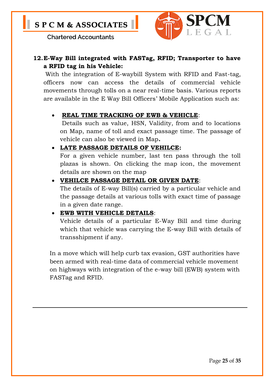

#### **12.E-Way Bill integrated with FASTag, RFID; Transporter to have a RFID tag in his Vehicle:**

With the integration of E-waybill System with RFID and Fast-tag, officers now can access the details of commercial vehicle movements through tolls on a near real-time basis. Various reports are available in the E Way Bill Officers' Mobile Application such as:

#### **REAL TIME TRACKING OF EWB & VEHICLE**:

Details such as value, HSN, Validity, from and to locations on Map, name of toll and exact passage time. The passage of vehicle can also be viewed in Map**.**

#### **LATE PASSAGE DETAILS OF VEHILCE:**

For a given vehicle number, last ten pass through the toll plazas is shown. On clicking the map icon, the movement details are shown on the map

#### **VEHILCE PASSAGE DETAIL OR GIVEN DATE**:

The details of E-way Bill(s) carried by a particular vehicle and the passage details at various tolls with exact time of passage in a given date range.

#### **EWB WITH VEHICLE DETAILS**:

Vehicle details of a particular E-Way Bill and time during which that vehicle was carrying the E-way Bill with details of transshipment if any.

In a move which will help curb tax evasion, GST authorities have been armed with real-time data of commercial vehicle movement on highways with integration of the e-way bill (EWB) system with FASTag and RFID.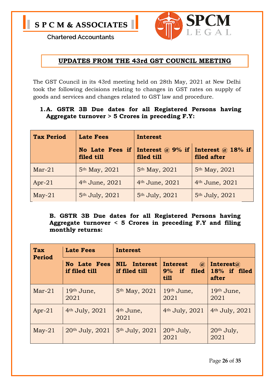

#### **UPDATES FROM THE 43rd GST COUNCIL MEETING**

The GST Council in its 43rd meeting held on 28th May, 2021 at New Delhi took the following decisions relating to changes in GST rates on supply of goods and services and changes related to GST law and procedure.

#### **1.A. GSTR 3B Due dates for all Registered Persons having Aggregate turnover > 5 Crores in preceding F.Y:**

| <b>Tax Period</b> | <b>Late Fees</b>           | <b>Interest</b>                                                                                  |                            |  |
|-------------------|----------------------------|--------------------------------------------------------------------------------------------------|----------------------------|--|
|                   | filed till                 | Interest $\omega$ 18% if<br>No Late Fees if Interest $\omega$ 9% if<br>filed after<br>filed till |                            |  |
| $Mar-21$          | 5th May, 2021              | 5 <sup>th</sup> May, 2021                                                                        | 5 <sup>th</sup> May, 2021  |  |
| $Apr-21$          | 4 <sup>th</sup> June, 2021 | 4 <sup>th</sup> June, 2021                                                                       | 4 <sup>th</sup> June, 2021 |  |
| $May-21$          | 5 <sup>th</sup> July, 2021 | 5 <sup>th</sup> July, 2021                                                                       | 5 <sup>th</sup> July, 2021 |  |

**B. GSTR 3B Due dates for all Registered Persons having Aggregate turnover < 5 Crores in preceding F.Y and filing monthly returns:**

| <b>Tax</b><br>Period | <b>Late Fees</b>                     | <b>Interest</b>                      |                                                       |                                            |  |
|----------------------|--------------------------------------|--------------------------------------|-------------------------------------------------------|--------------------------------------------|--|
|                      | <b>No Late Fees</b><br>if filed till | <b>NIL</b> Interest<br>if filed till | Interest<br>$\mathbf{a}$<br>$9\%$ if<br>filed<br>till | Interest $\omega$<br>18% if filed<br>after |  |
| $Mar-21$             | 19th June,<br>2021                   | 5 <sup>th</sup> May, 2021            | 19th June,<br>2021                                    | 19th June,<br>2021                         |  |
| $Apr-21$             | 4 <sup>th</sup> July, 2021           | 4 <sup>th</sup> June,<br>2021        | $4th$ July, 2021                                      | 4 <sup>th</sup> July, 2021                 |  |
| $May-21$             | 20th July, 2021                      | 5 <sup>th</sup> July, 2021           | 20th July,<br>2021                                    | 20th July,<br>2021                         |  |

Page **26** of **35**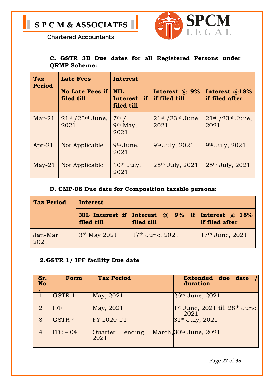

#### **C. GSTR 3B Due dates for all Registered Persons under QRMP Scheme:**

| Tax           | <b>Late Fees</b>                       | Interest                                |                                         |                                                    |  |
|---------------|----------------------------------------|-----------------------------------------|-----------------------------------------|----------------------------------------------------|--|
| <b>Period</b> | <b>No Late Fees if</b><br>filed till   | <b>NIL</b><br>Interest if<br>filed till | Interest $\omega$ , 9%<br>if filed till | Interest @18%<br>if filed after                    |  |
| $Mar-21$      | $21st$ /23 <sup>rd</sup> June,<br>2021 | $7th$ /<br>9th May,<br>2021             | $21st$ /23 <sup>rd</sup> June,<br>2021  | $21$ <sup>st</sup> /23 <sup>rd</sup> June,<br>2021 |  |
| $Apr-21$      | Not Applicable                         | 9th June,<br>2021                       | 9th July, 2021                          | 9th July, 2021                                     |  |
| $May-21$      | Not Applicable                         | 10 <sup>th</sup> July,<br>2021          | 25th July, 2021                         | 25th July, 2021                                    |  |

#### **D. CMP-08 Due date for Composition taxable persons:**

| Tax Period      | Interest     |                                                                             |                     |  |
|-----------------|--------------|-----------------------------------------------------------------------------|---------------------|--|
|                 | filed till   | NIL Interest if Interest $\omega$ 9% if Interest $\omega$ 18%<br>filed till | if filed after      |  |
| Jan-Mar<br>2021 | 3rd May 2021 | $17th$ June, $2021$                                                         | $17th$ June, $2021$ |  |

#### **2.GSTR 1/ IFF facility Due date**

| Sr.<br><b>No</b> | Form              | <b>Tax Period</b>         | Extended due date /<br>duration                      |
|------------------|-------------------|---------------------------|------------------------------------------------------|
|                  | GSTR 1            | May, 2021                 | $26th$ June, $2021$                                  |
| 2                | <b>IFF</b>        | May, 2021                 | $1st$ June, 2021 till 28 <sup>th</sup> June,<br>2021 |
| 3                | GSTR <sub>4</sub> | FY 2020-21                | 31st July, 2021                                      |
| $\overline{4}$   | $ITC - 04$        | ending<br>Quarter<br>2021 | March, $30th$ June, $2021$                           |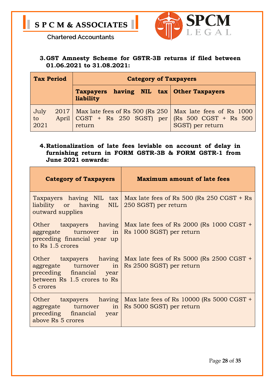

**3.GST Amnesty Scheme for GSTR-3B returns if filed between 01.06.2021 to 31.08.2021:**

| <b>Tax Period</b>  |  |                                                                                                                                          | <b>Category of Taxpayers</b> |  |
|--------------------|--|------------------------------------------------------------------------------------------------------------------------------------------|------------------------------|--|
|                    |  | Taxpayers having NIL tax Other Taxpayers<br>liability                                                                                    |                              |  |
| July<br>to<br>2021 |  | $2017$ Max late fees of Rs 500 (Rs 250   Max late fees of Rs 1000<br>April $ CGST + Rs 250 SGST)$ per $ (Rs 500 CGST + Rs 500$<br>return | SGST) per return             |  |

#### **4.Rationalization of late fees leviable on account of delay in furnishing return in FORM GSTR-3B & FORM GSTR-1 from June 2021 onwards:**

| <b>Category of Taxpayers</b>                                                                                                   | <b>Maximum amount of late fees</b>                                                             |
|--------------------------------------------------------------------------------------------------------------------------------|------------------------------------------------------------------------------------------------|
| liability or having NIL 250 SGST) per return<br>outward supplies                                                               | Taxpayers having NIL tax   Max late fees of Rs 500 (Rs 250 CGST + Rs                           |
| $\alpha$ aggregate turnover in Rs 1000 SGST) per return<br>preceding financial year up<br>to Rs 1.5 crores                     | Other taxpayers having   Max late fees of Rs 2000 (Rs 1000 CGST +                              |
| $\alpha$ aggregate turnover in Rs 2500 SGST) per return<br>preceding financial year<br>between Rs 1.5 crores to Rs<br>5 crores | Other taxpayers having   Max late fees of Rs 5000 (Rs 2500 CGST +                              |
| aggregate turnover in<br>preceding financial year<br>above Rs 5 crores                                                         | Other taxpayers having   Max late fees of Rs 10000 (Rs 5000 CGST +<br>Rs 5000 SGST) per return |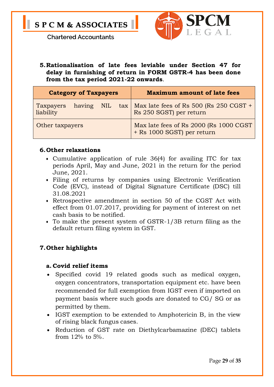



**5.Rationalisation of late fees leviable under Section 47 for delay in furnishing of return in FORM GSTR-4 has been done from the tax period 2021-22 onwards**.

| <b>Category of Taxpayers</b> |            |                                                                       | <b>Maximum amount of late fees</b>                                               |
|------------------------------|------------|-----------------------------------------------------------------------|----------------------------------------------------------------------------------|
| Taxpayers<br>liability       | having NIL |                                                                       | $\text{tax}$   Max late fees of Rs 500 (Rs 250 CGST +<br>Rs 250 SGST) per return |
| Other taxpayers              |            | Max late fees of Rs 2000 (Rs 1000 CGST)<br>+ Rs 1000 SGST) per return |                                                                                  |

#### **6.Other relaxations**

- Cumulative application of rule 36(4) for availing ITC for tax periods April, May and June, 2021 in the return for the period June, 2021.
- Filing of returns by companies using Electronic Verification Code (EVC), instead of Digital Signature Certificate (DSC) till 31.08.2021
- Retrospective amendment in section 50 of the CGST Act with effect from 01.07.2017, providing for payment of interest on net cash basis to be notified.
- To make the present system of GSTR-1/3B return filing as the default return filing system in GST.

#### **7.Other highlights**

#### **a. Covid relief items**

- Specified covid 19 related goods such as medical oxygen, oxygen concentrators, transportation equipment etc. have been recommended for full exemption from IGST even if imported on payment basis where such goods are donated to CG/ SG or as permitted by them.
- IGST exemption to be extended to Amphotericin B, in the view of rising black fungus cases.
- Reduction of GST rate on Diethylcarbamazine (DEC) tablets from 12% to 5%.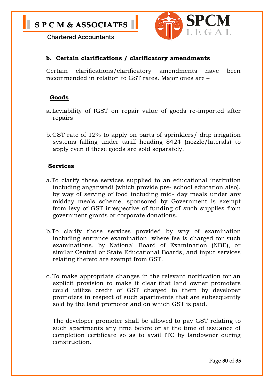

#### **b. Certain clarifications / clarificatory amendments**

Certain clarifications/clarificatory amendments have been recommended in relation to GST rates. Major ones are –

#### **Goods**

- a.Leviability of IGST on repair value of goods re-imported after repairs
- b.GST rate of 12% to apply on parts of sprinklers/ drip irrigation systems falling under tariff heading 8424 (nozzle/laterals) to apply even if these goods are sold separately.

#### **Services**

- a.To clarify those services supplied to an educational institution including anganwadi (which provide pre- school education also), by way of serving of food including mid- day meals under any midday meals scheme, sponsored by Government is exempt from levy of GST irrespective of funding of such supplies from government grants or corporate donations.
- b.To clarify those services provided by way of examination including entrance examination, where fee is charged for such examinations, by National Board of Examination (NBE), or similar Central or State Educational Boards, and input services relating thereto are exempt from GST.
- c. To make appropriate changes in the relevant notification for an explicit provision to make it clear that land owner promoters could utilize credit of GST charged to them by developer promoters in respect of such apartments that are subsequently sold by the land promotor and on which GST is paid.

The developer promoter shall be allowed to pay GST relating to such apartments any time before or at the time of issuance of completion certificate so as to avail ITC by landowner during construction.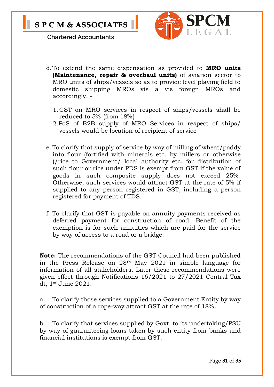



- d.To extend the same dispensation as provided to **MRO units (Maintenance, repair & overhaul units)** of aviation sector to MRO units of ships/vessels so as to provide level playing field to domestic shipping MROs vis a vis foreign MROs and accordingly, -
	- 1. GST on MRO services in respect of ships/vessels shall be reduced to 5% (from 18%)
	- 2.PoS of B2B supply of MRO Services in respect of ships/ vessels would be location of recipient of service
- e. To clarify that supply of service by way of milling of wheat/paddy into flour (fortified with minerals etc. by millers or otherwise )/rice to Government/ local authority etc. for distribution of such flour or rice under PDS is exempt from GST if the value of goods in such composite supply does not exceed 25%. Otherwise, such services would attract GST at the rate of 5% if supplied to any person registered in GST, including a person registered for payment of TDS.
- f. To clarify that GST is payable on annuity payments received as deferred payment for construction of road. Benefit of the exemption is for such annuities which are paid for the service by way of access to a road or a bridge.

**Note:** The recommendations of the GST Council had been published in the Press Release on 28th May 2021 in simple language for information of all stakeholders. Later these recommendations were given effect through Notifications 16/2021 to 27/2021-Central Tax dt, 1st June 2021.

a. To clarify those services supplied to a Government Entity by way of construction of a rope-way attract GST at the rate of 18%.

b. To clarify that services supplied by Govt. to its undertaking/PSU by way of guaranteeing loans taken by such entity from banks and financial institutions is exempt from GST.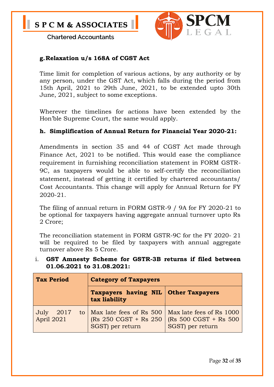

#### **g.Relaxation u/s 168A of CGST Act**

Time limit for completion of various actions, by any authority or by any person, under the GST Act, which falls during the period from 15th April, 2021 to 29th June, 2021, to be extended upto 30th June, 2021, subject to some exceptions.

Wherever the timelines for actions have been extended by the Hon'ble Supreme Court, the same would apply.

#### **h. Simplification of Annual Return for Financial Year 2020-21:**

Amendments in section 35 and 44 of CGST Act made through Finance Act, 2021 to be notified. This would ease the compliance requirement in furnishing reconciliation statement in FORM GSTR-9C, as taxpayers would be able to self-certify the reconciliation statement, instead of getting it certified by chartered accountants/ Cost Accountants. This change will apply for Annual Return for FY 2020-21.

The filing of annual return in FORM GSTR-9 / 9A for FY 2020-21 to be optional for taxpayers having aggregate annual turnover upto Rs 2 Crore;

The reconciliation statement in FORM GSTR-9C for the FY 2020- 21 will be required to be filed by taxpayers with annual aggregate turnover above Rs 5 Crore.

| <b>Tax Period</b>          | <b>Category of Taxpayers</b>                                                                          |                                           |  |  |
|----------------------------|-------------------------------------------------------------------------------------------------------|-------------------------------------------|--|--|
|                            | <b>Taxpayers having NIL Other Taxpayers</b><br>tax liability                                          |                                           |  |  |
| July<br>2017<br>April 2021 | to   Max late fees of Rs 500   Max late fees of Rs 1000<br>(Rs 250 CGST + Rs 250)<br>SGST) per return | (Rs 500 CGST + Rs 500<br>SGST) per return |  |  |

#### i. **GST Amnesty Scheme for GSTR-3B returns if filed between 01.06.2021 to 31.08.2021:**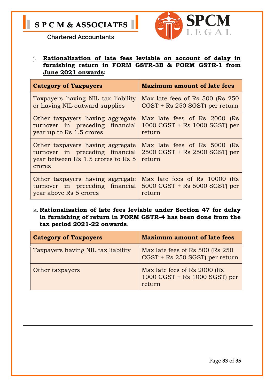



j. **Rationalization of late fees leviable on account of delay in furnishing return in FORM GSTR-3B & FORM GSTR-1 from June 2021 onwards:**

| <b>Category of Taxpayers</b>                                                                                        | <b>Maximum amount of late fees</b>                                                               |
|---------------------------------------------------------------------------------------------------------------------|--------------------------------------------------------------------------------------------------|
| Taxpayers having NIL tax liability                                                                                  | Max late fees of Rs 500 (Rs 250)                                                                 |
| or having NIL outward supplies                                                                                      | CGST + Rs 250 SGST) per return                                                                   |
| Other taxpayers having aggregate                                                                                    | Max late fees of Rs 2000 (Rs                                                                     |
| turnover in preceding financial                                                                                     | $1000 \text{ CGST} + \text{Rs } 1000 \text{ SGST}$ ) per                                         |
| year up to Rs 1.5 crores                                                                                            | return                                                                                           |
| Other taxpayers having aggregate<br>turnover in preceding financial<br>year between Rs 1.5 crores to Rs 5<br>crores | Max late fees of Rs 5000 (Rs<br>$2500 \text{ CGST} + \text{Rs } 2500 \text{ SGST}$ per<br>return |
| Other taxpayers having aggregate                                                                                    | Max late fees of Rs 10000 (Rs                                                                    |
| turnover in preceding financial                                                                                     | $5000 \text{ CGST} + \text{Rs } 5000 \text{ SGST}$ per                                           |
| year above Rs 5 crores                                                                                              | return                                                                                           |

k. **Rationalisation of late fees leviable under Section 47 for delay in furnishing of return in FORM GSTR-4 has been done from the tax period 2021-22 onwards**.

| <b>Category of Taxpayers</b>       | <b>Maximum amount of late fees</b>                                                               |
|------------------------------------|--------------------------------------------------------------------------------------------------|
| Taxpayers having NIL tax liability | Max late fees of Rs 500 (Rs 250)<br>CGST + Rs 250 SGST) per return                               |
| Other taxpayers                    | Max late fees of Rs 2000 (Rs<br>$1000 \text{ CGST} + \text{Rs } 1000 \text{ SGST}$ per<br>return |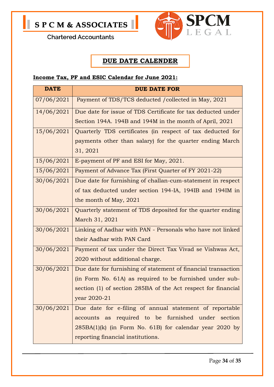



#### **DUE DATE CALENDER**

#### **Income Tax, PF and ESIC Calendar for June 2021:**

| <b>DATE</b> | <b>DUE DATE FOR</b>                                           |
|-------------|---------------------------------------------------------------|
| 07/06/2021  | Payment of TDS/TCS deducted /collected in May, 2021           |
| 14/06/2021  | Due date for issue of TDS Certificate for tax deducted under  |
|             | Section 194A. 194B and 194M in the month of April, 2021       |
| 15/06/2021  | Quarterly TDS certificates (in respect of tax deducted for    |
|             | payments other than salary) for the quarter ending March      |
|             | 31, 2021                                                      |
| 15/06/2021  | E-payment of PF and ESI for May, 2021.                        |
| 15/06/2021  | Payment of Advance Tax (First Quarter of FY 2021-22)          |
| 30/06/2021  | Due date for furnishing of challan-cum-statement in respect   |
|             | of tax deducted under section 194-IA, 194IB and 194IM in      |
|             | the month of May, 2021                                        |
| 30/06/2021  | Quarterly statement of TDS deposited for the quarter ending   |
|             | March 31, 2021                                                |
| 30/06/2021  | Linking of Aadhar with PAN - Personals who have not linked    |
|             | their Aadhar with PAN Card                                    |
| 30/06/2021  | Payment of tax under the Direct Tax Vivad se Vishwas Act,     |
|             | 2020 without additional charge.                               |
| 30/06/2021  | Due date for furnishing of statement of financial transaction |
|             | (in Form No. 61A) as required to be furnished under sub-      |
|             | section (1) of section 285BA of the Act respect for financial |
|             | year 2020-21                                                  |
| 30/06/2021  | Due date for e-filing of annual statement of reportable       |
|             | accounts as required to be furnished under section            |
|             | $285BA(1)(k)$ (in Form No. 61B) for calendar year 2020 by     |
|             | reporting financial institutions.                             |